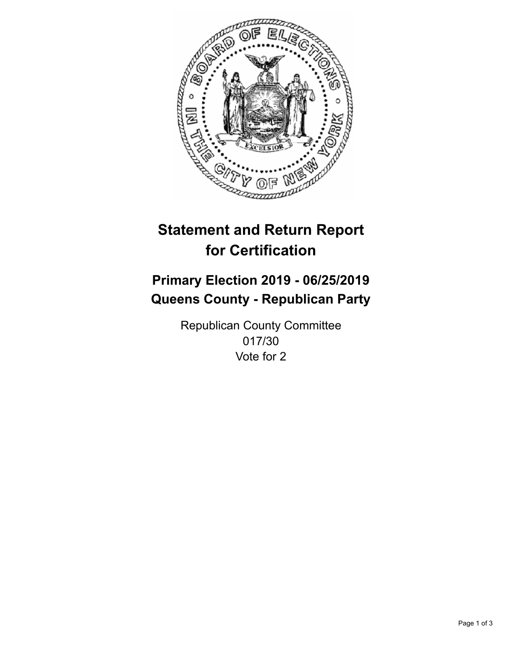

## **Statement and Return Report for Certification**

## **Primary Election 2019 - 06/25/2019 Queens County - Republican Party**

Republican County Committee 017/30 Vote for 2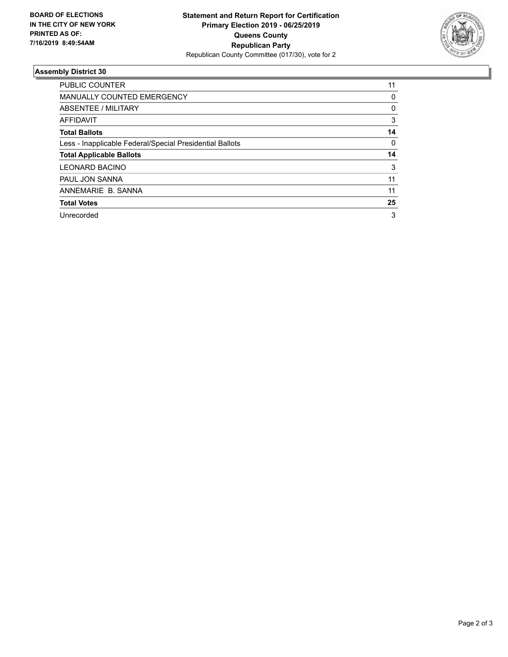

## **Assembly District 30**

| PUBLIC COUNTER                                           | 11 |
|----------------------------------------------------------|----|
| <b>MANUALLY COUNTED EMERGENCY</b>                        | 0  |
| ABSENTEE / MILITARY                                      | 0  |
| AFFIDAVIT                                                | 3  |
| <b>Total Ballots</b>                                     | 14 |
| Less - Inapplicable Federal/Special Presidential Ballots | 0  |
| <b>Total Applicable Ballots</b>                          | 14 |
| <b>LEONARD BACINO</b>                                    | 3  |
| PAUL JON SANNA                                           | 11 |
| ANNEMARIE B. SANNA                                       | 11 |
| <b>Total Votes</b>                                       | 25 |
| Unrecorded                                               | 3  |